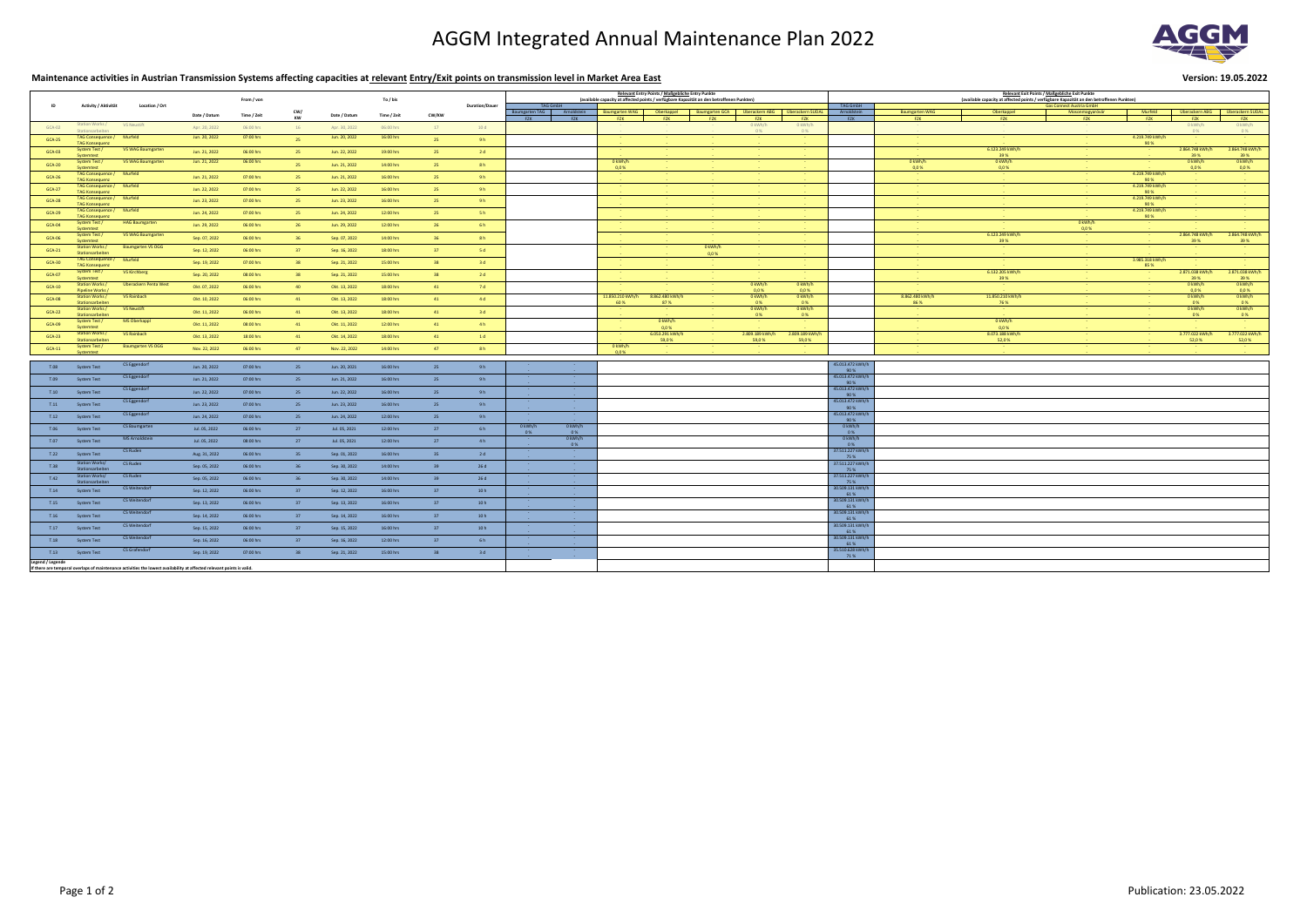# AGGM Integrated Annual Maintenance Plan 2022



#### Publication: 23.05.2022

### **Maintenance activities in Austrian Transmission Systems affecting capacities at relevant Entry/Exit points on transmission level in Market Area East Version: 19.05.2022**

|                                                                                                                        | / Aktivität                                        | Location / Ort           |               |             |                 |               |             |              |                       | Relevant Entry Points / Maßgebliche Entry Punkte                                                                                                                                                                                                                     |                                                                                     |  |                                            |                                          |                                              |                                                                                                                                                | Relevant Exit Points / Maßgebliche Exit Punkte |                                              |                                            |                                   |                                                    |                                                     |                                                      |
|------------------------------------------------------------------------------------------------------------------------|----------------------------------------------------|--------------------------|---------------|-------------|-----------------|---------------|-------------|--------------|-----------------------|----------------------------------------------------------------------------------------------------------------------------------------------------------------------------------------------------------------------------------------------------------------------|-------------------------------------------------------------------------------------|--|--------------------------------------------|------------------------------------------|----------------------------------------------|------------------------------------------------------------------------------------------------------------------------------------------------|------------------------------------------------|----------------------------------------------|--------------------------------------------|-----------------------------------|----------------------------------------------------|-----------------------------------------------------|------------------------------------------------------|
|                                                                                                                        |                                                    |                          |               | From / von  |                 |               | To / bis    |              | <b>Duration/Dauer</b> | (available capacity at affected points / verfügbare Kapazität an den betroffenen Punkten<br><b>TAG GmbH</b>                                                                                                                                                          |                                                                                     |  |                                            |                                          |                                              | (available capacity at affected points / verfügbare Kapazität an den betroffenen Punkten<br><b>Gas Connect Austria GmbH</b><br><b>TAG GmbH</b> |                                                |                                              |                                            |                                   |                                                    |                                                     |                                                      |
|                                                                                                                        |                                                    |                          | Date / Datum  | Time / Zeit |                 | Date / Datun  |             | <b>CW/KW</b> |                       | Baumgarten TAG                                                                                                                                                                                                                                                       | <b>Baumgarten WAG</b>                                                               |  | Oberkappel                                 | <b>Baumgarten GCA</b>                    | Überackern ABG                               | Überackern SUDAL                                                                                                                               | Arnoldsteir                                    | <b>Baumgarten WAG</b>                        | Oberkappe                                  | Mosonmagyaróvár                   | Murfeld                                            | Überackern ABG                                      | Überackern SUDAL                                     |
|                                                                                                                        |                                                    |                          |               |             | KW              |               | Time / Zeit |              |                       | – F7K I                                                                                                                                                                                                                                                              | <b>EXAMPLE</b><br><b>F7K</b>                                                        |  | <b>F7K</b>                                 | <b>F7K</b>                               | F7K                                          | <b>F7K</b>                                                                                                                                     | EZK E                                          | <b>FZK</b>                                   | <b>F7K</b>                                 | <b>FZK</b>                        | <b>F7K</b>                                         | <b>FZK</b>                                          | <b>FZK</b>                                           |
| GCA-02                                                                                                                 | Station Works /<br>Stations arbeiter               | VS Neustift              | Apr. 20, 2022 | 06:00 hrs   |                 |               | 06:00 hr:   |              | 10d                   |                                                                                                                                                                                                                                                                      |                                                                                     |  |                                            |                                          | 0 kWh/h<br>$0\%$                             | 0 kWh/h<br>$0\%$                                                                                                                               |                                                |                                              |                                            | <b>Contract Contract Contract</b> |                                                    | 0 kWh/h<br>$0\%$                                    | 0 kWh/h<br>$0\%$                                     |
| $GCA-25$                                                                                                               | TAG Consequence /<br><b>TAG Konsequenz</b>         | Murfeld                  | Jun. 20, 2022 | 07:00 hrs   |                 | Jun. 20, 2022 | $16:00$ hrs |              | 9h                    |                                                                                                                                                                                                                                                                      |                                                                                     |  |                                            |                                          |                                              |                                                                                                                                                |                                                |                                              |                                            |                                   | 4.219.749 kWh/h<br>90 %                            | <b>Contract Contract</b><br><b>Service Contract</b> | <b>Contract Contract</b>                             |
| <b>GCA-03</b>                                                                                                          | System Test /                                      | <b>VS WAG Baumgarten</b> | Jun. 21, 2022 | 06:00 hrs   |                 | Jun. 22, 2022 | $19:00$ hrs |              | 2d                    |                                                                                                                                                                                                                                                                      |                                                                                     |  |                                            |                                          |                                              |                                                                                                                                                |                                                |                                              | 6.123.249 kWh/h                            |                                   |                                                    | 2.864.748 kWh/h                                     | 2.864.748 kWh/h                                      |
|                                                                                                                        | Systemtest<br><b>System Test /</b>                 | <b>VS WAG Baumgarten</b> | Jun. 21, 2022 | 06:00 hrs   |                 |               |             |              |                       |                                                                                                                                                                                                                                                                      | 0 kWh/h                                                                             |  |                                            |                                          |                                              |                                                                                                                                                |                                                | <b>Contract Contract</b><br>0 kWh/h          | 39 %<br>0 kWh/h                            |                                   |                                                    | 39 %<br>0 kWh/h                                     | 39%<br>0 kWh/h                                       |
| <b>GCA-20</b>                                                                                                          | Systemtest                                         |                          |               |             |                 | Jun. 21, 2022 | 14:00 hrs   |              | 8h                    |                                                                                                                                                                                                                                                                      | 0.0%                                                                                |  |                                            |                                          |                                              |                                                                                                                                                |                                                | 0,0%                                         | 0,0%                                       |                                   |                                                    | 0,0%                                                | 0,0%                                                 |
| GCA-26                                                                                                                 | TAG Consequence /<br><b>TAG Konsequenz</b>         | Murfeld                  | Jun. 21, 2022 | 07:00 hrs   |                 | Jun. 21, 2022 | 16:00 hrs   |              | 9h                    |                                                                                                                                                                                                                                                                      | <b>Contract Contract</b>                                                            |  | <b>Contract Contract</b>                   |                                          | <b>State State</b>                           | <b>Contract Contract</b>                                                                                                                       |                                                | <b>Contract Contract</b>                     |                                            |                                   | 4.219.749 kWh/h<br>90 %                            | <b>State State</b>                                  | <b>Contact Contact</b>                               |
| <b>GCA-27</b>                                                                                                          | TAG Consequence / Murfeld<br><b>TAG Konsequenz</b> |                          | Jun. 22, 2022 | 07:00 hrs   |                 | Jun. 22, 2022 | 16:00 hrs   |              | 9h                    |                                                                                                                                                                                                                                                                      |                                                                                     |  |                                            |                                          |                                              | <b>Contract Contract</b>                                                                                                                       |                                                |                                              |                                            | <b>Contract Contract</b>          | 4.219.749 kWh/h<br>90 %                            | <b>Contract Contract</b>                            | <b>Contract Contract</b><br><b>Contract Contract</b> |
| GCA-28                                                                                                                 | TAG Consequence /<br><b>TAG Konsequenz</b>         | Murfeld                  | Jun. 23, 2022 | 07:00 hrs   |                 | Jun. 23, 2022 | 16:00 hrs   |              | 9h                    |                                                                                                                                                                                                                                                                      |                                                                                     |  |                                            |                                          | <b>Service</b>                               | <b>State State</b>                                                                                                                             |                                                |                                              |                                            | <b>Service</b> Construction       | 4.219.749 kWh/h<br>90 %                            | <b>Contract Contract</b>                            | <b>Service Control</b>                               |
| GCA-29                                                                                                                 | TAG Consequence /                                  | <b>Murfeld</b>           | Jun. 24, 2022 | 07:00 hrs   |                 | Jun. 24, 2022 | 12:00 hrs   |              | $-5h$                 |                                                                                                                                                                                                                                                                      |                                                                                     |  |                                            |                                          |                                              |                                                                                                                                                |                                                |                                              |                                            |                                   | 4.219.749 kWh/h                                    |                                                     |                                                      |
| GCA-04                                                                                                                 | <b>TAG Konsequenz</b><br>System Test /             | <b>HAG Baumgarten</b>    | Jun. 29, 2022 | 06:00 hrs   |                 | Jun. 29, 2022 | 12:00 hrs   |              | 6h                    |                                                                                                                                                                                                                                                                      |                                                                                     |  |                                            |                                          |                                              | <b>Contract Contract</b>                                                                                                                       |                                                |                                              |                                            | 0 kWh/h                           | 90 %                                               |                                                     | <b>Contract Contract</b>                             |
| GCA-06                                                                                                                 | Systemtest<br>System Test /                        | <b>VS WAG Baumgarten</b> | Sep. 07, 2022 | 06:00 hrs   |                 | Sep. 07, 2022 | 14:00 hrs   |              | 8h                    |                                                                                                                                                                                                                                                                      |                                                                                     |  |                                            |                                          |                                              | <b>Contract Contract Contract</b>                                                                                                              |                                                |                                              | 6.123.249 kWh/h                            |                                   | <b>Contract</b>                                    | 2.864.748 kWh/h                                     | 2.864.748 kWh/h                                      |
| $GCA-21$                                                                                                               | Systemtest<br><b>Station Works</b>                 | <b>Baumgarten VS OGG</b> | Sep. 12, 2022 | 06:00 hrs   |                 | Sep. 16, 2022 | 18:00 hrs   |              | 5d                    |                                                                                                                                                                                                                                                                      |                                                                                     |  |                                            | $0$ kWh/h                                |                                              |                                                                                                                                                |                                                |                                              | 39 %                                       |                                   |                                                    | 39 %                                                | 39 %                                                 |
|                                                                                                                        | Stationsarbeiten<br>TAG Consequence /              | Murfeld                  |               |             |                 |               |             |              |                       |                                                                                                                                                                                                                                                                      |                                                                                     |  |                                            |                                          |                                              | <b>Contract Contract</b>                                                                                                                       |                                                |                                              |                                            |                                   | 3.985.318 kWh/h                                    |                                                     |                                                      |
| <b>GCA-30</b>                                                                                                          | <b>TAG Konsequenz</b><br>System Test /             | <b>VS Kirchberg</b>      | Sep. 19, 2022 | 07:00 hrs   |                 | Sep. 21, 2022 | 15:00 hrs   |              | 3d                    |                                                                                                                                                                                                                                                                      |                                                                                     |  |                                            |                                          |                                              |                                                                                                                                                |                                                |                                              | 6.132.205 kWh/h                            |                                   | 85 %                                               | 2.871.038 kWh/h                                     | <b>State State</b><br>2.871.038 kWh/h                |
| <b>GCA-07</b>                                                                                                          | Systemtest<br>Station Works /                      | Überackern Penta West    | Sep. 20, 2022 | 08:00 hrs   |                 | Sep. 21, 2022 | 15:00 hrs   |              | 2d                    |                                                                                                                                                                                                                                                                      |                                                                                     |  |                                            |                                          | 0 kWh/h                                      | 0 kWh/h                                                                                                                                        |                                                |                                              | 39 %                                       |                                   |                                                    | 39 %<br>0 kWh/h                                     | 39 %<br>0 kWh/h                                      |
| <b>GCA-10</b>                                                                                                          | Pipeline Works /                                   |                          | Okt. 07, 2022 | 06:00 hrs   |                 | Okt. 13, 2022 | 18:00 hrs   |              | 7 d                   |                                                                                                                                                                                                                                                                      |                                                                                     |  |                                            |                                          | 0,0%                                         | 0,0%                                                                                                                                           |                                                | <b>State State</b>                           |                                            |                                   |                                                    | 0,0%                                                | 0,0%<br>0 kWh/h                                      |
| GCA-08                                                                                                                 | Station Works /<br>Stationsarbeiten                | VS Rainbach              | Okt. 10, 2022 | $06:00$ hrs | - 41            | Okt. 13, 2022 | 18:00 hrs   |              | 4d                    |                                                                                                                                                                                                                                                                      | 11.850.210 kWh/h<br>60 %                                                            |  | 8.862.480 kWh/h<br>87%                     | <b>State State</b><br><b>State State</b> | 0 kWh/h<br>$0\%$                             | 0 kWh/h<br>$0\%$                                                                                                                               |                                                | 8.862.480 kWh/h<br>86 %                      | 11.850.210 kWh/h<br>76 %                   |                                   | <b>Contract Contract</b><br><b>Service Control</b> | 0 kWh/h<br>$0\%$                                    | $0\%$                                                |
| GCA-22                                                                                                                 | Station Works /<br>Stationsarbeiten                | VS Neustift              | Okt. 11, 2022 | $06:00$ hrs | - 41            | Okt. 13, 2022 | 18:00 hrs   |              | 3d                    |                                                                                                                                                                                                                                                                      | <b>Service</b> State                                                                |  | <b>State State</b><br><b>Service State</b> | <b>State State</b>                       | 0 kWh/h<br>$0\%$                             | 0 kWh/h<br>0%                                                                                                                                  |                                                | <b>Service State</b><br><b>Service State</b> | <b>State State</b><br><b>Service State</b> | <b>Service</b> State              | <b>State State</b>                                 | 0 kWh/h<br>0%                                       | 0 kWh/h<br>$0\%$                                     |
| GCA-09                                                                                                                 | System Test /<br>Systemtest                        | MS Oberkappl             | Okt. 11, 2022 | $08:00$ hrs | 41              | Okt. 11, 2022 | $12:00$ hrs | $-41$        | 4h                    |                                                                                                                                                                                                                                                                      | <b>Service Contract</b>                                                             |  | 0 kWh/h<br>0,0%                            |                                          | <b>State State</b>                           |                                                                                                                                                |                                                | <b>State State</b><br><b>Contract</b>        | 0 kWh/h<br>0.0%                            |                                   |                                                    | <b>State State</b>                                  | <b>State State</b>                                   |
| $GCA-23$                                                                                                               | <b>Station Works /</b><br>Stationsarbeiten         | VS Rainbach              | Okt. 13, 2022 | 18:00 hrs   | 41              | Okt. 14, 2022 | 18:00 hrs   | $-41$        | 1d                    |                                                                                                                                                                                                                                                                      | <b>Contractor</b><br><b>Contractor</b>                                              |  | 6.053.291 kWh/h<br>59,0%                   | <b>Contract Contract</b>                 | 2.809.189 kWh/h<br>59,0%                     | 2.809.189 kWh/h<br>59,0 %                                                                                                                      |                                                | <b>State State</b><br><b>Contractor</b>      | 8.073.188 kWh/h<br>52,0%                   |                                   | <b>Contract Contract</b>                           | 3.777.022 kWh/h<br>52,0%                            | 3.777.022 kWh/h<br>52,0%                             |
| $GCA-11$                                                                                                               | System Test /<br>Systemtest                        | <b>Baumgarten VS OGG</b> | Nov. 22, 2022 | $06:00$ hrs | 47              | Nov. 22, 2022 | 14:00 hrs   | 47           | 8h                    |                                                                                                                                                                                                                                                                      | 0 kWh/h<br>0.0%                                                                     |  | <b>Contact Contact</b>                     | <b>Contractor</b>                        | <b>State State</b><br><b>Contact Contact</b> | <b>Service Control</b>                                                                                                                         |                                                | <b>Service Control</b>                       | <b>State State</b>                         | <b>Service State</b>              | <b>State State</b>                                 | <b>Contact Contact</b>                              | <b>Service Control</b>                               |
| T.08                                                                                                                   | <b>Example System Test</b>                         | CS Eggendorf             | Jun. 20, 2022 | 07:00 hrs   | 25              | Jun. 20, 2021 | 16:00 hrs   |              | 9h                    |                                                                                                                                                                                                                                                                      |                                                                                     |  |                                            |                                          |                                              |                                                                                                                                                | 45.013.472 kWh/h                               |                                              |                                            |                                   |                                                    |                                                     |                                                      |
|                                                                                                                        |                                                    | CS Eggendorf             |               |             |                 |               |             |              | $-9h$                 | the control of the control of the control of the control of the control of the control of the control of the control of the control of the control of the control of the control of the control of the control of the control                                        | and the contract of the contract of                                                 |  |                                            |                                          |                                              |                                                                                                                                                | 90 %<br>45.013.472 kWh/h                       |                                              |                                            |                                   |                                                    |                                                     |                                                      |
| T.09                                                                                                                   | System Test                                        | CS Eggendorf             | Jun. 21, 2022 | 07:00 hrs   | $-25$           | Jun. 21, 2022 | 16:00 hrs   |              |                       | the control of the control of the control of the control of the control of the control of                                                                                                                                                                            |                                                                                     |  |                                            |                                          |                                              |                                                                                                                                                | 90 %<br>45.013.472 kWh/h                       |                                              |                                            |                                   |                                                    |                                                     |                                                      |
|                                                                                                                        | T.10 System Test                                   | CS Eggendorf             | Jun. 22, 2022 | 07:00 hrs   | - 25 -          | Jun. 22, 2022 | 16:00 hrs   |              | 9h                    | the contract of the contract of the<br>the control of the control of the control of the control of the control of the control of the control of the control of the control of the control of the control of the control of the control of the control of the control |                                                                                     |  |                                            |                                          |                                              |                                                                                                                                                | 90 %<br>45.013.472 kWh/h                       |                                              |                                            |                                   |                                                    |                                                     |                                                      |
|                                                                                                                        | T.11 System Test                                   | CS Eggendorf             | Jun. 23, 2022 | 07:00 hrs   | - 25 -          | Jun. 23, 2022 | 16:00 hrs   | - 25.        | 9h                    | the control of the control of the                                                                                                                                                                                                                                    | and the state of the state of the                                                   |  |                                            |                                          |                                              |                                                                                                                                                | $90\%$<br>45.013.472 kWh/h                     |                                              |                                            |                                   |                                                    |                                                     |                                                      |
| T.12                                                                                                                   | System Test                                        |                          | Jun. 24, 2022 | 07:00 hrs   | 25              | Jun. 24, 2022 | 12:00 hrs   | $-25$        | 9h                    | 0 kWh/h                                                                                                                                                                                                                                                              | 0 kWh/h                                                                             |  |                                            |                                          |                                              |                                                                                                                                                | 90 %<br>0 kWh/h                                |                                              |                                            |                                   |                                                    |                                                     |                                                      |
| T.06                                                                                                                   | <b>Example System Test</b>                         | CS Baumgarten            | Jul. 05, 2022 | 06:00 hrs   | 27              | Jul. 05, 2021 | 12:00 hrs   |              | $-6h$                 | $0\%$                                                                                                                                                                                                                                                                | $0\%$                                                                               |  |                                            |                                          |                                              |                                                                                                                                                | $0\%$                                          |                                              |                                            |                                   |                                                    |                                                     |                                                      |
| T.07                                                                                                                   | System Test                                        | MS Arnoldstein           | Jul. 05, 2022 | 08:00 hrs   | 27              | Jul. 05, 2021 | 12:00 hrs   |              | 4h                    | <b>Service Control</b>                                                                                                                                                                                                                                               | 0 kWh/h<br>$0\%$                                                                    |  |                                            |                                          |                                              |                                                                                                                                                | 0 kWh/h<br>$0\%$                               |                                              |                                            |                                   |                                                    |                                                     |                                                      |
| T.22                                                                                                                   | System Test                                        | CS Ruden                 | Aug. 31, 2022 | 06:00 hrs   | -35-            | Sep. 01, 2022 | 16:00 hrs   |              | 2d                    |                                                                                                                                                                                                                                                                      | <b>Service Control</b>                                                              |  |                                            |                                          |                                              |                                                                                                                                                | 37.511.227 kWh/h<br>75%                        |                                              |                                            |                                   |                                                    |                                                     |                                                      |
| T.38                                                                                                                   | Station Works/<br>Stationsarbeiten                 | CS Ruden                 | Sep. 05, 2022 | 06:00 hrs   |                 | Sep. 30, 2022 | 14:00 hrs   |              | 26d                   |                                                                                                                                                                                                                                                                      |                                                                                     |  |                                            |                                          |                                              |                                                                                                                                                | 37.511.227 kWh/h<br>75 %                       |                                              |                                            |                                   |                                                    |                                                     |                                                      |
| T.42                                                                                                                   | Station Works/ CS Ruden<br>Stationsarbeiter        |                          | Sep. 05, 2022 | 06:00 hrs   |                 | Sep. 30, 2022 | 14:00 hrs   |              | 26d                   |                                                                                                                                                                                                                                                                      |                                                                                     |  |                                            |                                          |                                              |                                                                                                                                                | 37.511.227 kWh/h<br>75 %                       |                                              |                                            |                                   |                                                    |                                                     |                                                      |
| T.14                                                                                                                   | System Test                                        | CS Weitendorf            | Sep. 12, 2022 | 06:00 hrs   | 37              | Sep. 12, 2022 | 16:00 hrs   | - 37 -       | 10h                   | the control of the control of the                                                                                                                                                                                                                                    |                                                                                     |  |                                            |                                          |                                              |                                                                                                                                                | 30.509.131 kWh/h<br>61 %                       |                                              |                                            |                                   |                                                    |                                                     |                                                      |
| T.15                                                                                                                   | System Test                                        | CS Weitendorf            | Sep. 13, 2022 | 06:00 hrs   | 37 <sup>2</sup> | Sep. 13, 2022 | 16:00 hrs   |              | 10h                   | 이 아이는 아이들이 아이들이 아이들이 아이들이 아이들이 아이들이 있다.                                                                                                                                                                                                                              |                                                                                     |  |                                            |                                          |                                              |                                                                                                                                                | 30.509.131 kWh/h<br>61 %                       |                                              |                                            |                                   |                                                    |                                                     |                                                      |
|                                                                                                                        | T.16 System Test                                   | CS Weitendorf            | Sep. 14, 2022 | 06:00 hrs   | 37 <sup>2</sup> | Sep. 14, 2022 | 16:00 hrs   |              | 10h                   |                                                                                                                                                                                                                                                                      | <b>Service Contract Contract Contract</b><br>the control of the control of the con- |  |                                            |                                          |                                              |                                                                                                                                                | 30.509.131 kWh/h<br>61 %                       |                                              |                                            |                                   |                                                    |                                                     |                                                      |
| T.17                                                                                                                   | System Test                                        | CS Weitendorf            | Sep. 15, 2022 | 06:00 hrs   | - 37 -          | Sep. 15, 2022 | 16:00 hrs   |              | 10h                   | the contract of the contract of the contract of the                                                                                                                                                                                                                  | <b>Service Contract Contract Contract</b>                                           |  |                                            |                                          |                                              |                                                                                                                                                | 30.509.131 kWh/l<br>61 %                       |                                              |                                            |                                   |                                                    |                                                     |                                                      |
| T.18                                                                                                                   | System Test                                        | CS Weitendorf            | Sep. 16, 2022 | $06:00$ hrs |                 | Sep. 16, 2022 | 12:00 hrs   |              | 6 h                   | the contract of the contract of the contract of the contract of the contract of the contract of                                                                                                                                                                      |                                                                                     |  |                                            |                                          |                                              |                                                                                                                                                | 30.509.131 kWh/h<br>61 %                       |                                              |                                            |                                   |                                                    |                                                     |                                                      |
| T.13                                                                                                                   | System Test                                        | CS Grafendorf            | Sep. 19, 2022 | 07:00 hrs   | - 38 -          | Sep. 21, 2022 | 15:00 hrs   |              | 3d                    | <b>Service Communication</b><br>the company of the company of the<br>and the state of the state of the                                                                                                                                                               | the contract of the contract of the<br><b>Contract Contract Contract Contract</b>   |  |                                            |                                          |                                              |                                                                                                                                                | 35.510.628 kWh/h<br>71 %                       |                                              |                                            |                                   |                                                    |                                                     |                                                      |
| Legend / Legende                                                                                                       |                                                    |                          |               |             |                 |               |             |              |                       |                                                                                                                                                                                                                                                                      | <b>Service State</b>                                                                |  |                                            |                                          |                                              |                                                                                                                                                |                                                |                                              |                                            |                                   |                                                    |                                                     |                                                      |
| If there are temporal overlaps of maintenance activities the lowest availability at affected relevant points is valid. |                                                    |                          |               |             |                 |               |             |              |                       |                                                                                                                                                                                                                                                                      |                                                                                     |  |                                            |                                          |                                              |                                                                                                                                                |                                                |                                              |                                            |                                   |                                                    |                                                     |                                                      |